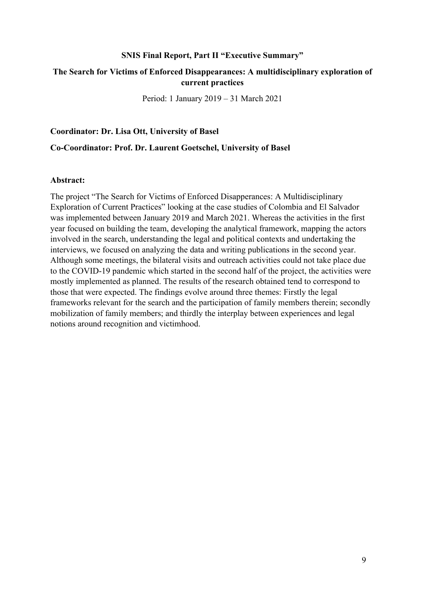#### **SNIS Final Report, Part II "Executive Summary"**

### **The Search for Victims of Enforced Disappearances: A multidisciplinary exploration of current practices**

Period: 1 January 2019 – 31 March 2021

**Coordinator: Dr. Lisa Ott, University of Basel** 

**Co-Coordinator: Prof. Dr. Laurent Goetschel, University of Basel** 

#### **Abstract:**

The project "The Search for Victims of Enforced Disapperances: A Multidisciplinary Exploration of Current Practices" looking at the case studies of Colombia and El Salvador was implemented between January 2019 and March 2021. Whereas the activities in the first year focused on building the team, developing the analytical framework, mapping the actors involved in the search, understanding the legal and political contexts and undertaking the interviews, we focused on analyzing the data and writing publications in the second year. Although some meetings, the bilateral visits and outreach activities could not take place due to the COVID-19 pandemic which started in the second half of the project, the activities were mostly implemented as planned. The results of the research obtained tend to correspond to those that were expected. The findings evolve around three themes: Firstly the legal frameworks relevant for the search and the participation of family members therein; secondly mobilization of family members; and thirdly the interplay between experiences and legal notions around recognition and victimhood.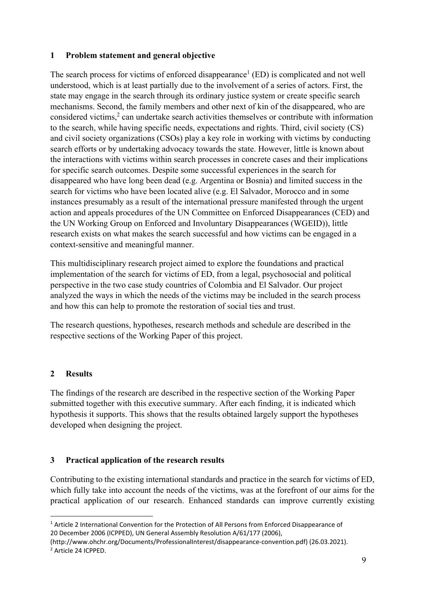## **1 Problem statement and general objective**

The search process for victims of enforced disappearance<sup>1</sup> (ED) is complicated and not well understood, which is at least partially due to the involvement of a series of actors. First, the state may engage in the search through its ordinary justice system or create specific search mechanisms. Second, the family members and other next of kin of the disappeared, who are considered victims,<sup>2</sup> can undertake search activities themselves or contribute with information to the search, while having specific needs, expectations and rights. Third, civil society (CS) and civil society organizations (CSOs) play a key role in working with victims by conducting search efforts or by undertaking advocacy towards the state. However, little is known about the interactions with victims within search processes in concrete cases and their implications for specific search outcomes. Despite some successful experiences in the search for disappeared who have long been dead (e.g. Argentina or Bosnia) and limited success in the search for victims who have been located alive (e.g. El Salvador, Morocco and in some instances presumably as a result of the international pressure manifested through the urgent action and appeals procedures of the UN Committee on Enforced Disappearances (CED) and the UN Working Group on Enforced and Involuntary Disappearances (WGEID)), little research exists on what makes the search successful and how victims can be engaged in a context-sensitive and meaningful manner.

This multidisciplinary research project aimed to explore the foundations and practical implementation of the search for victims of ED, from a legal, psychosocial and political perspective in the two case study countries of Colombia and El Salvador. Our project analyzed the ways in which the needs of the victims may be included in the search process and how this can help to promote the restoration of social ties and trust.

The research questions, hypotheses, research methods and schedule are described in the respective sections of the Working Paper of this project.

## **2 Results**

The findings of the research are described in the respective section of the Working Paper submitted together with this executive summary. After each finding, it is indicated which hypothesis it supports. This shows that the results obtained largely support the hypotheses developed when designing the project.

# **3 Practical application of the research results**

Contributing to the existing international standards and practice in the search for victims of ED, which fully take into account the needs of the victims, was at the forefront of our aims for the practical application of our research. Enhanced standards can improve currently existing

<sup>&</sup>lt;sup>1</sup> Article 2 International Convention for the Protection of All Persons from Enforced Disappearance of 20 December 2006 (ICPPED), UN General Assembly Resolution A/61/177 (2006),

<sup>(</sup>http://www.ohchr.org/Documents/ProfessionalInterest/disappearance‐convention.pdf) (26.03.2021). 2 Article 24 ICPPED.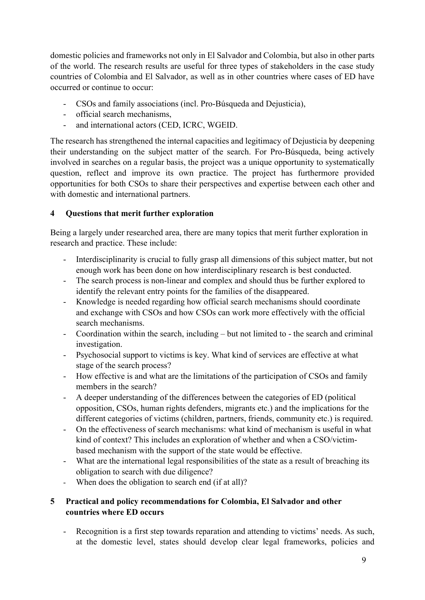domestic policies and frameworks not only in El Salvador and Colombia, but also in other parts of the world. The research results are useful for three types of stakeholders in the case study countries of Colombia and El Salvador, as well as in other countries where cases of ED have occurred or continue to occur:

- CSOs and family associations (incl. Pro-Búsqueda and Dejusticia),
- official search mechanisms,
- and international actors (CED, ICRC, WGEID.

The research has strengthened the internal capacities and legitimacy of Dejusticia by deepening their understanding on the subject matter of the search. For Pro-Búsqueda, being actively involved in searches on a regular basis, the project was a unique opportunity to systematically question, reflect and improve its own practice. The project has furthermore provided opportunities for both CSOs to share their perspectives and expertise between each other and with domestic and international partners.

# **4 Questions that merit further exploration**

Being a largely under researched area, there are many topics that merit further exploration in research and practice. These include:

- Interdisciplinarity is crucial to fully grasp all dimensions of this subject matter, but not enough work has been done on how interdisciplinary research is best conducted.
- The search process is non-linear and complex and should thus be further explored to identify the relevant entry points for the families of the disappeared.
- Knowledge is needed regarding how official search mechanisms should coordinate and exchange with CSOs and how CSOs can work more effectively with the official search mechanisms.
- Coordination within the search, including but not limited to the search and criminal investigation.
- Psychosocial support to victims is key. What kind of services are effective at what stage of the search process?
- How effective is and what are the limitations of the participation of CSOs and family members in the search?
- A deeper understanding of the differences between the categories of ED (political opposition, CSOs, human rights defenders, migrants etc.) and the implications for the different categories of victims (children, partners, friends, community etc.) is required.
- On the effectiveness of search mechanisms: what kind of mechanism is useful in what kind of context? This includes an exploration of whether and when a CSO/victimbased mechanism with the support of the state would be effective.
- What are the international legal responsibilities of the state as a result of breaching its obligation to search with due diligence?
- When does the obligation to search end (if at all)?

## **5 Practical and policy recommendations for Colombia, El Salvador and other countries where ED occurs**

- Recognition is a first step towards reparation and attending to victims' needs. As such, at the domestic level, states should develop clear legal frameworks, policies and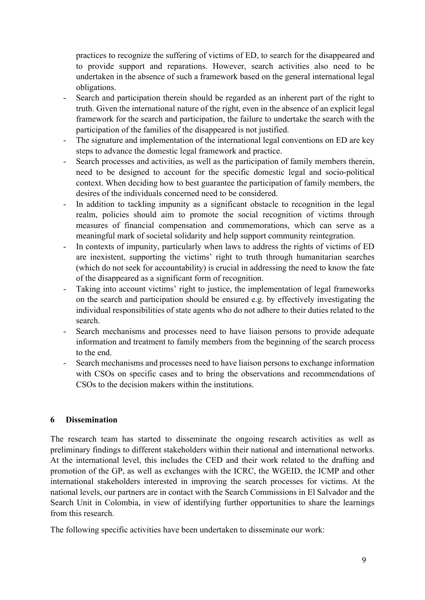practices to recognize the suffering of victims of ED, to search for the disappeared and to provide support and reparations. However, search activities also need to be undertaken in the absence of such a framework based on the general international legal obligations.

- Search and participation therein should be regarded as an inherent part of the right to truth. Given the international nature of the right, even in the absence of an explicit legal framework for the search and participation, the failure to undertake the search with the participation of the families of the disappeared is not justified.
- The signature and implementation of the international legal conventions on ED are key steps to advance the domestic legal framework and practice.
- Search processes and activities, as well as the participation of family members therein, need to be designed to account for the specific domestic legal and socio-political context. When deciding how to best guarantee the participation of family members, the desires of the individuals concerned need to be considered.
- In addition to tackling impunity as a significant obstacle to recognition in the legal realm, policies should aim to promote the social recognition of victims through measures of financial compensation and commemorations, which can serve as a meaningful mark of societal solidarity and help support community reintegration.
- In contexts of impunity, particularly when laws to address the rights of victims of ED are inexistent, supporting the victims' right to truth through humanitarian searches (which do not seek for accountability) is crucial in addressing the need to know the fate of the disappeared as a significant form of recognition.
- Taking into account victims' right to justice, the implementation of legal frameworks on the search and participation should be ensured e.g. by effectively investigating the individual responsibilities of state agents who do not adhere to their duties related to the search.
- Search mechanisms and processes need to have liaison persons to provide adequate information and treatment to family members from the beginning of the search process to the end.
- Search mechanisms and processes need to have liaison persons to exchange information with CSOs on specific cases and to bring the observations and recommendations of CSOs to the decision makers within the institutions.

# **6 Dissemination**

The research team has started to disseminate the ongoing research activities as well as preliminary findings to different stakeholders within their national and international networks. At the international level, this includes the CED and their work related to the drafting and promotion of the GP, as well as exchanges with the ICRC, the WGEID, the ICMP and other international stakeholders interested in improving the search processes for victims. At the national levels, our partners are in contact with the Search Commissions in El Salvador and the Search Unit in Colombia, in view of identifying further opportunities to share the learnings from this research.

The following specific activities have been undertaken to disseminate our work: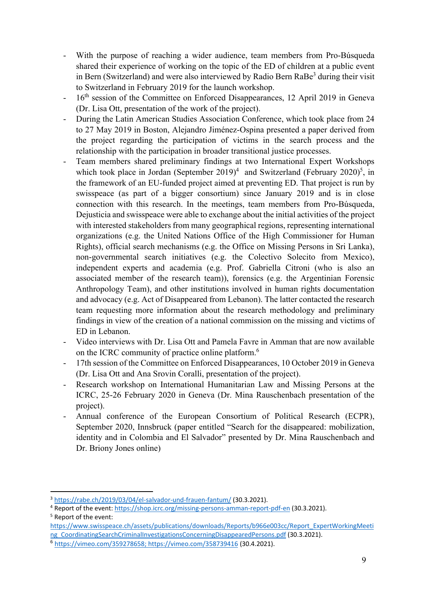- With the purpose of reaching a wider audience, team members from Pro-Búsqueda shared their experience of working on the topic of the ED of children at a public event in Bern (Switzerland) and were also interviewed by Radio Bern RaBe<sup>3</sup> during their visit to Switzerland in February 2019 for the launch workshop.
- 16<sup>th</sup> session of the Committee on Enforced Disappearances, 12 April 2019 in Geneva (Dr. Lisa Ott, presentation of the work of the project).
- During the Latin American Studies Association Conference, which took place from 24 to 27 May 2019 in Boston, Alejandro Jiménez-Ospina presented a paper derived from the project regarding the participation of victims in the search process and the relationship with the participation in broader transitional justice processes.
- Team members shared preliminary findings at two International Expert Workshops which took place in Jordan (September  $2019)^4$  and Switzerland (February  $2020)^5$ , in the framework of an EU-funded project aimed at preventing ED. That project is run by swisspeace (as part of a bigger consortium) since January 2019 and is in close connection with this research. In the meetings, team members from Pro-Búsqueda, Dejusticia and swisspeace were able to exchange about the initial activities of the project with interested stakeholders from many geographical regions, representing international organizations (e.g. the United Nations Office of the High Commissioner for Human Rights), official search mechanisms (e.g. the Office on Missing Persons in Sri Lanka), non-governmental search initiatives (e.g. the Colectivo Solecito from Mexico), independent experts and academia (e.g. Prof. Gabriella Citroni (who is also an associated member of the research team)), forensics (e.g. the Argentinian Forensic Anthropology Team), and other institutions involved in human rights documentation and advocacy (e.g. Act of Disappeared from Lebanon). The latter contacted the research team requesting more information about the research methodology and preliminary findings in view of the creation of a national commission on the missing and victims of ED in Lebanon.
- Video interviews with Dr. Lisa Ott and Pamela Favre in Amman that are now available on the ICRC community of practice online platform.<sup>6</sup>
- 17th session of the Committee on Enforced Disappearances, 10 October 2019 in Geneva (Dr. Lisa Ott and Ana Srovin Coralli, presentation of the project).
- Research workshop on International Humanitarian Law and Missing Persons at the ICRC, 25-26 February 2020 in Geneva (Dr. Mina Rauschenbach presentation of the project).
- Annual conference of the European Consortium of Political Research (ECPR), September 2020, Innsbruck (paper entitled "Search for the disappeared: mobilization, identity and in Colombia and El Salvador" presented by Dr. Mina Rauschenbach and Dr. Briony Jones online)

<sup>3</sup> https://rabe.ch/2019/03/04/el‐salvador‐und‐frauen‐fantum/ (30.3.2021).

<sup>&</sup>lt;sup>4</sup> Report of the event: https://shop.icrc.org/missing-persons-amman-report-pdf-en (30.3.2021).

<sup>5</sup> Report of the event:

https://www.swisspeace.ch/assets/publications/downloads/Reports/b966e003cc/Report\_ExpertWorkingMeeti ng\_CoordinatingSearchCriminalInvestigationsConcerningDisappearedPersons.pdf (30.3.2021).

<sup>6</sup> https://vimeo.com/359278658; https://vimeo.com/358739416 (30.4.2021).